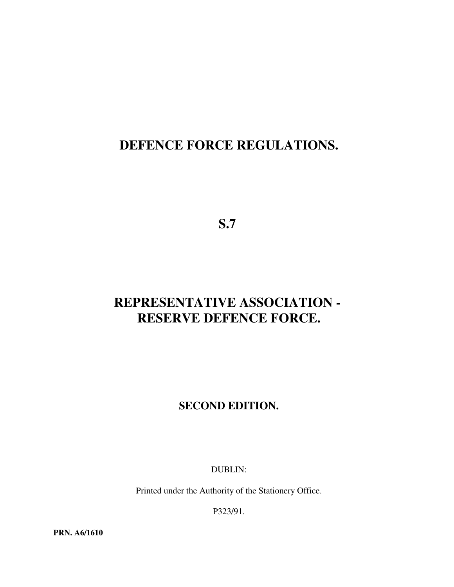# **DEFENCE FORCE REGULATIONS.**

**S.7**

# **REPRESENTATIVE ASSOCIATION - RESERVE DEFENCE FORCE.**

# **SECOND EDITION.**

DUBLIN:

Printed under the Authority of the Stationery Office.

P323/91.

**PRN. A6/1610**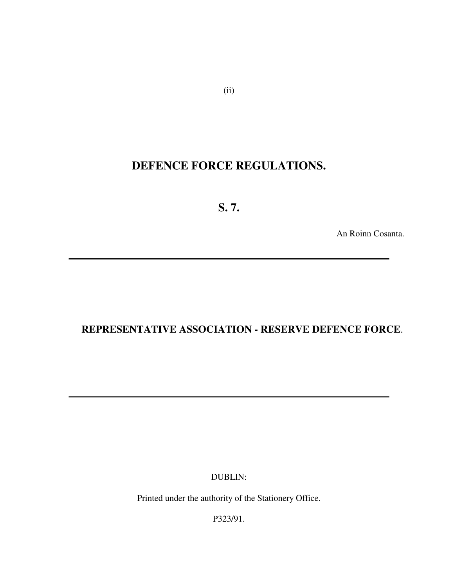# **DEFENCE FORCE REGULATIONS.**

**S. 7.**

 $\overline{a}$ 

 $\overline{a}$ 

An Roinn Cosanta.

# **REPRESENTATIVE ASSOCIATION - RESERVE DEFENCE FORCE**.

DUBLIN:

Printed under the authority of the Stationery Office.

P323/91.

(ii)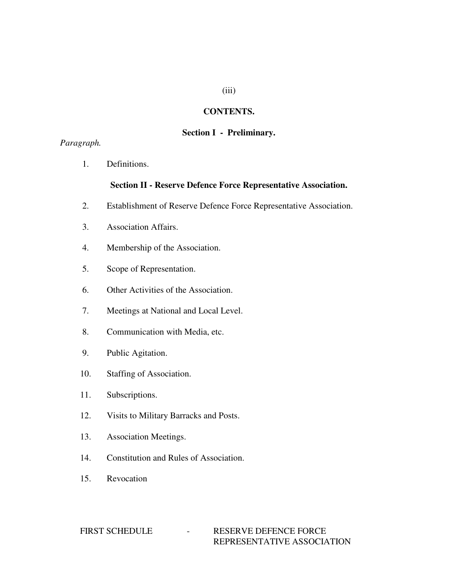# (iii)

#### **CONTENTS.**

# **Section I - Preliminary.**

# *Paragraph.*

1. Definitions.

#### **Section II - Reserve Defence Force Representative Association.**

- 2. Establishment of Reserve Defence Force Representative Association.
- 3. Association Affairs.
- 4. Membership of the Association.
- 5. Scope of Representation.
- 6. Other Activities of the Association.
- 7. Meetings at National and Local Level.
- 8. Communication with Media, etc.
- 9. Public Agitation.
- 10. Staffing of Association.
- 11. Subscriptions.
- 12. Visits to Military Barracks and Posts.
- 13. Association Meetings.
- 14. Constitution and Rules of Association.
- 15. Revocation

#### FIRST SCHEDULE - RESERVE DEFENCE FORCE REPRESENTATIVE ASSOCIATION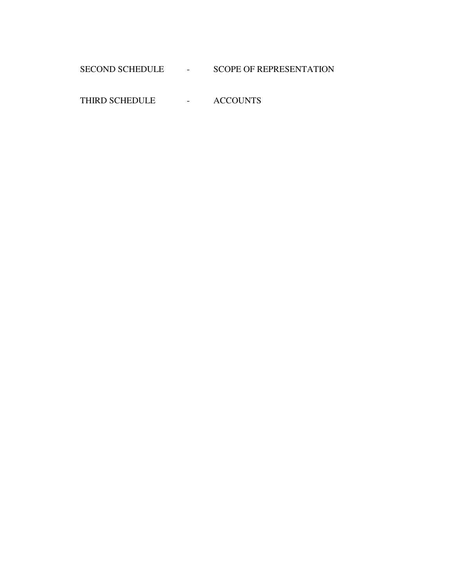# SECOND SCHEDULE - SCOPE OF REPRESENTATION

THIRD SCHEDULE - ACCOUNTS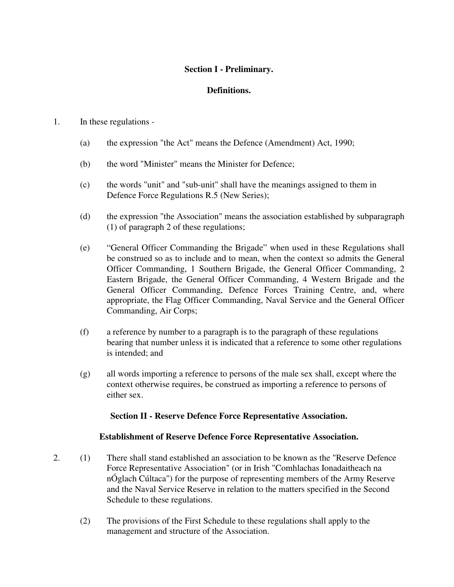# **Section I - Preliminary.**

# **Definitions.**

#### 1. In these regulations -

- (a) the expression "the Act" means the Defence (Amendment) Act, 1990;
- (b) the word "Minister" means the Minister for Defence;
- (c) the words "unit" and "sub-unit" shall have the meanings assigned to them in Defence Force Regulations R.5 (New Series);
- (d) the expression "the Association" means the association established by subparagraph (1) of paragraph 2 of these regulations;
- (e) "General Officer Commanding the Brigade" when used in these Regulations shall be construed so as to include and to mean, when the context so admits the General Officer Commanding, 1 Southern Brigade, the General Officer Commanding, 2 Eastern Brigade, the General Officer Commanding, 4 Western Brigade and the General Officer Commanding, Defence Forces Training Centre, and, where appropriate, the Flag Officer Commanding, Naval Service and the General Officer Commanding, Air Corps;
- (f) a reference by number to a paragraph is to the paragraph of these regulations bearing that number unless it is indicated that a reference to some other regulations is intended; and
- (g) all words importing a reference to persons of the male sex shall, except where the context otherwise requires, be construed as importing a reference to persons of either sex.

#### **Section II - Reserve Defence Force Representative Association.**

#### **Establishment of Reserve Defence Force Representative Association.**

- 2. (1) There shall stand established an association to be known as the "Reserve Defence Force Representative Association" (or in Irish "Comhlachas Ionadaitheach na nÓglach Cúltaca") for the purpose of representing members of the Army Reserve and the Naval Service Reserve in relation to the matters specified in the Second Schedule to these regulations.
	- (2) The provisions of the First Schedule to these regulations shall apply to the management and structure of the Association.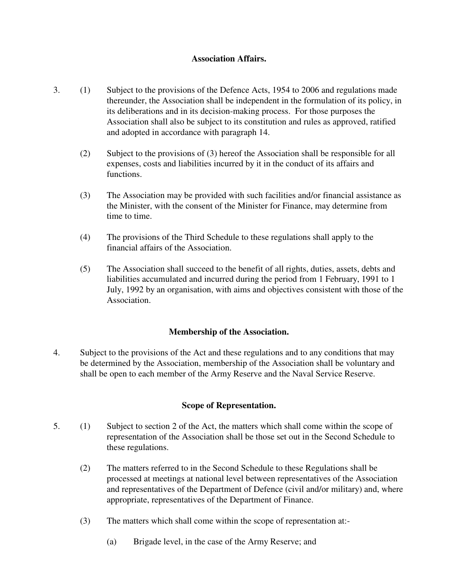# **Association Affairs.**

- 3. (1) Subject to the provisions of the Defence Acts, 1954 to 2006 and regulations made thereunder, the Association shall be independent in the formulation of its policy, in its deliberations and in its decision-making process. For those purposes the Association shall also be subject to its constitution and rules as approved, ratified and adopted in accordance with paragraph 14.
	- (2) Subject to the provisions of (3) hereof the Association shall be responsible for all expenses, costs and liabilities incurred by it in the conduct of its affairs and functions.
	- (3) The Association may be provided with such facilities and/or financial assistance as the Minister, with the consent of the Minister for Finance, may determine from time to time.
	- (4) The provisions of the Third Schedule to these regulations shall apply to the financial affairs of the Association.
	- (5) The Association shall succeed to the benefit of all rights, duties, assets, debts and liabilities accumulated and incurred during the period from 1 February, 1991 to 1 July, 1992 by an organisation, with aims and objectives consistent with those of the Association.

# **Membership of the Association.**

4. Subject to the provisions of the Act and these regulations and to any conditions that may be determined by the Association, membership of the Association shall be voluntary and shall be open to each member of the Army Reserve and the Naval Service Reserve.

#### **Scope of Representation.**

- 5. (1) Subject to section 2 of the Act, the matters which shall come within the scope of representation of the Association shall be those set out in the Second Schedule to these regulations.
	- (2) The matters referred to in the Second Schedule to these Regulations shall be processed at meetings at national level between representatives of the Association and representatives of the Department of Defence (civil and/or military) and, where appropriate, representatives of the Department of Finance.
	- (3) The matters which shall come within the scope of representation at:-
		- (a) Brigade level, in the case of the Army Reserve; and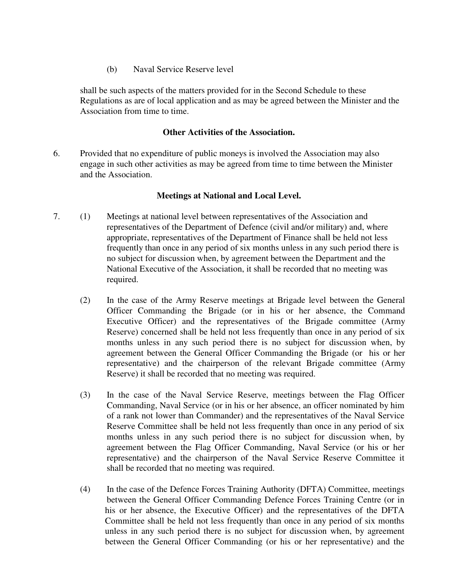(b) Naval Service Reserve level

shall be such aspects of the matters provided for in the Second Schedule to these Regulations as are of local application and as may be agreed between the Minister and the Association from time to time.

# **Other Activities of the Association.**

6. Provided that no expenditure of public moneys is involved the Association may also engage in such other activities as may be agreed from time to time between the Minister and the Association.

# **Meetings at National and Local Level.**

- 7. (1) Meetings at national level between representatives of the Association and representatives of the Department of Defence (civil and/or military) and, where appropriate, representatives of the Department of Finance shall be held not less frequently than once in any period of six months unless in any such period there is no subject for discussion when, by agreement between the Department and the National Executive of the Association, it shall be recorded that no meeting was required.
	- (2) In the case of the Army Reserve meetings at Brigade level between the General Officer Commanding the Brigade (or in his or her absence, the Command Executive Officer) and the representatives of the Brigade committee (Army Reserve) concerned shall be held not less frequently than once in any period of six months unless in any such period there is no subject for discussion when, by agreement between the General Officer Commanding the Brigade (or his or her representative) and the chairperson of the relevant Brigade committee (Army Reserve) it shall be recorded that no meeting was required.
	- (3) In the case of the Naval Service Reserve, meetings between the Flag Officer Commanding, Naval Service (or in his or her absence, an officer nominated by him of a rank not lower than Commander) and the representatives of the Naval Service Reserve Committee shall be held not less frequently than once in any period of six months unless in any such period there is no subject for discussion when, by agreement between the Flag Officer Commanding, Naval Service (or his or her representative) and the chairperson of the Naval Service Reserve Committee it shall be recorded that no meeting was required.
	- (4) In the case of the Defence Forces Training Authority (DFTA) Committee, meetings between the General Officer Commanding Defence Forces Training Centre (or in his or her absence, the Executive Officer) and the representatives of the DFTA Committee shall be held not less frequently than once in any period of six months unless in any such period there is no subject for discussion when, by agreement between the General Officer Commanding (or his or her representative) and the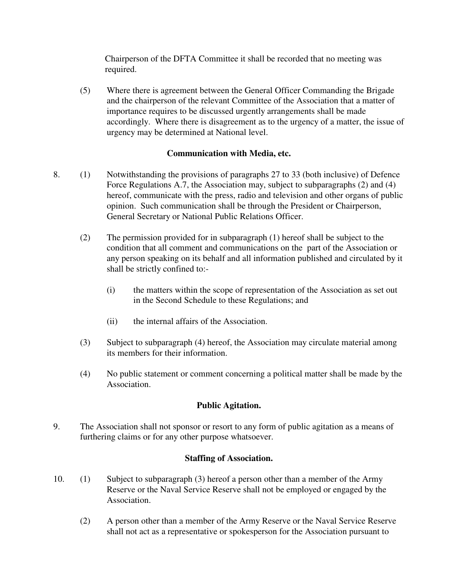Chairperson of the DFTA Committee it shall be recorded that no meeting was required.

(5) Where there is agreement between the General Officer Commanding the Brigade and the chairperson of the relevant Committee of the Association that a matter of importance requires to be discussed urgently arrangements shall be made accordingly. Where there is disagreement as to the urgency of a matter, the issue of urgency may be determined at National level.

# **Communication with Media, etc.**

- 8. (1) Notwithstanding the provisions of paragraphs 27 to 33 (both inclusive) of Defence Force Regulations A.7, the Association may, subject to subparagraphs (2) and (4) hereof, communicate with the press, radio and television and other organs of public opinion. Such communication shall be through the President or Chairperson, General Secretary or National Public Relations Officer.
	- (2) The permission provided for in subparagraph (1) hereof shall be subject to the condition that all comment and communications on the part of the Association or any person speaking on its behalf and all information published and circulated by it shall be strictly confined to:-
		- (i) the matters within the scope of representation of the Association as set out in the Second Schedule to these Regulations; and
		- (ii) the internal affairs of the Association.
	- (3) Subject to subparagraph (4) hereof, the Association may circulate material among its members for their information.
	- (4) No public statement or comment concerning a political matter shall be made by the Association.

# **Public Agitation.**

9. The Association shall not sponsor or resort to any form of public agitation as a means of furthering claims or for any other purpose whatsoever.

# **Staffing of Association.**

- 10. (1) Subject to subparagraph (3) hereof a person other than a member of the Army Reserve or the Naval Service Reserve shall not be employed or engaged by the Association.
	- (2) A person other than a member of the Army Reserve or the Naval Service Reserve shall not act as a representative or spokesperson for the Association pursuant to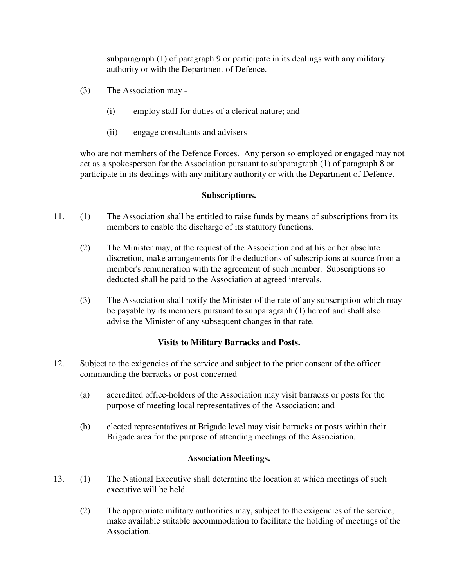subparagraph (1) of paragraph 9 or participate in its dealings with any military authority or with the Department of Defence.

- (3) The Association may
	- (i) employ staff for duties of a clerical nature; and
	- (ii) engage consultants and advisers

who are not members of the Defence Forces. Any person so employed or engaged may not act as a spokesperson for the Association pursuant to subparagraph (1) of paragraph 8 or participate in its dealings with any military authority or with the Department of Defence.

# **Subscriptions.**

- 11. (1) The Association shall be entitled to raise funds by means of subscriptions from its members to enable the discharge of its statutory functions.
	- (2) The Minister may, at the request of the Association and at his or her absolute discretion, make arrangements for the deductions of subscriptions at source from a member's remuneration with the agreement of such member. Subscriptions so deducted shall be paid to the Association at agreed intervals.
	- (3) The Association shall notify the Minister of the rate of any subscription which may be payable by its members pursuant to subparagraph (1) hereof and shall also advise the Minister of any subsequent changes in that rate.

# **Visits to Military Barracks and Posts.**

- 12. Subject to the exigencies of the service and subject to the prior consent of the officer commanding the barracks or post concerned -
	- (a) accredited office-holders of the Association may visit barracks or posts for the purpose of meeting local representatives of the Association; and
	- (b) elected representatives at Brigade level may visit barracks or posts within their Brigade area for the purpose of attending meetings of the Association.

# **Association Meetings.**

- 13. (1) The National Executive shall determine the location at which meetings of such executive will be held.
	- (2) The appropriate military authorities may, subject to the exigencies of the service, make available suitable accommodation to facilitate the holding of meetings of the Association.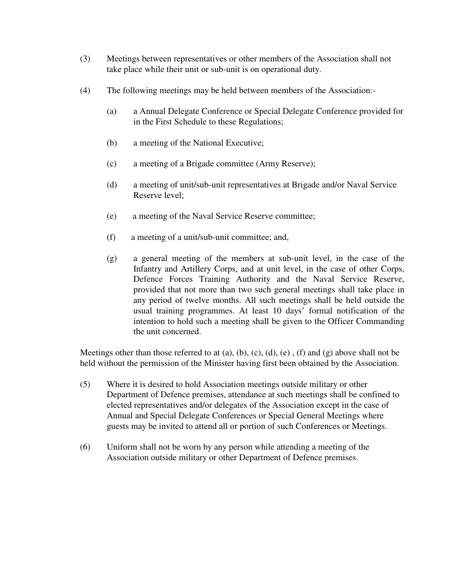- (3) Meetings between representatives or other members of the Association shall not take place while their unit or sub-unit is on operational duty.
- (4) The following meetings may be held between members of the Association:-
	- (a) a Annual Delegate Conference or Special Delegate Conference provided for in the First Schedule to these Regulations;
	- (b) a meeting of the National Executive;
	- (c) a meeting of a Brigade committee (Army Reserve);
	- (d) a meeting of unit/sub-unit representatives at Brigade and/or Naval Service Reserve level;
	- (e) a meeting of the Naval Service Reserve committee;
	- (f) a meeting of a unit/sub-unit committee; and,
	- (g) a general meeting of the members at sub-unit level, in the case of the Infantry and Artillery Corps, and at unit level, in the case of other Corps, Defence Forces Training Authority and the Naval Service Reserve, provided that not more than two such general meetings shall take place in any period of twelve months. All such meetings shall be held outside the usual training programmes. At least 10 days' formal notification of the intention to hold such a meeting shall be given to the Officer Commanding the unit concerned.

Meetings other than those referred to at  $(a)$ ,  $(b)$ ,  $(c)$ ,  $(d)$ ,  $(e)$ ,  $(f)$  and  $(g)$  above shall not be held without the permission of the Minister having first been obtained by the Association.

- (5) Where it is desired to hold Association meetings outside military or other Department of Defence premises, attendance at such meetings shall be confined to elected representatives and/or delegates of the Association except in the case of Annual and Special Delegate Conferences or Special General Meetings where guests may be invited to attend all or portion of such Conferences or Meetings.
- (6) Uniform shall not be worn by any person while attending a meeting of the Association outside military or other Department of Defence premises.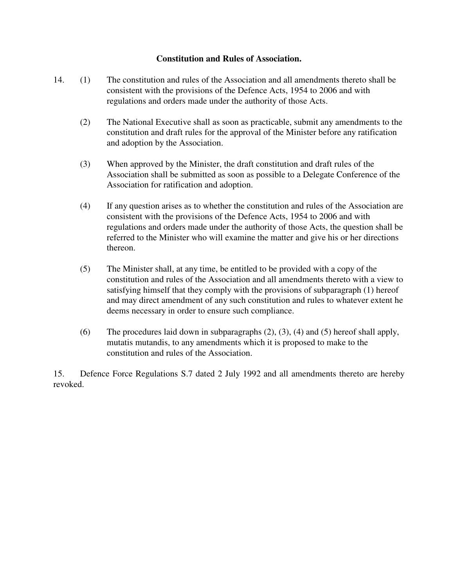# **Constitution and Rules of Association.**

- 14. (1) The constitution and rules of the Association and all amendments thereto shall be consistent with the provisions of the Defence Acts, 1954 to 2006 and with regulations and orders made under the authority of those Acts.
	- (2) The National Executive shall as soon as practicable, submit any amendments to the constitution and draft rules for the approval of the Minister before any ratification and adoption by the Association.
	- (3) When approved by the Minister, the draft constitution and draft rules of the Association shall be submitted as soon as possible to a Delegate Conference of the Association for ratification and adoption.
	- (4) If any question arises as to whether the constitution and rules of the Association are consistent with the provisions of the Defence Acts, 1954 to 2006 and with regulations and orders made under the authority of those Acts, the question shall be referred to the Minister who will examine the matter and give his or her directions thereon.
	- (5) The Minister shall, at any time, be entitled to be provided with a copy of the constitution and rules of the Association and all amendments thereto with a view to satisfying himself that they comply with the provisions of subparagraph (1) hereof and may direct amendment of any such constitution and rules to whatever extent he deems necessary in order to ensure such compliance.
	- (6) The procedures laid down in subparagraphs (2), (3), (4) and (5) hereof shall apply, mutatis mutandis, to any amendments which it is proposed to make to the constitution and rules of the Association.

15. Defence Force Regulations S.7 dated 2 July 1992 and all amendments thereto are hereby revoked.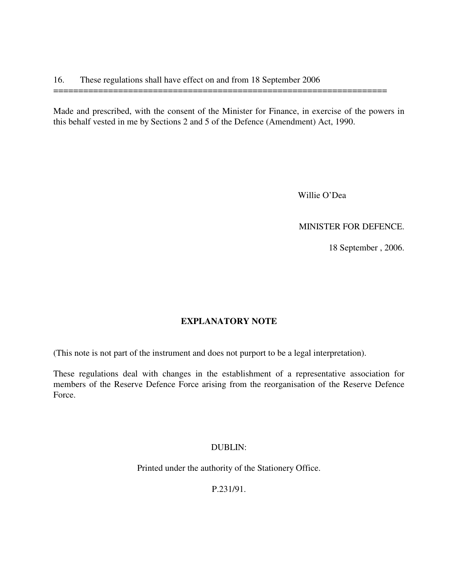Made and prescribed, with the consent of the Minister for Finance, in exercise of the powers in this behalf vested in me by Sections 2 and 5 of the Defence (Amendment) Act, 1990.

===================================================================

Willie O'Dea

MINISTER FOR DEFENCE.

18 September , 2006.

# **EXPLANATORY NOTE**

(This note is not part of the instrument and does not purport to be a legal interpretation).

These regulations deal with changes in the establishment of a representative association for members of the Reserve Defence Force arising from the reorganisation of the Reserve Defence Force.

#### DUBLIN:

Printed under the authority of the Stationery Office.

P.231/91.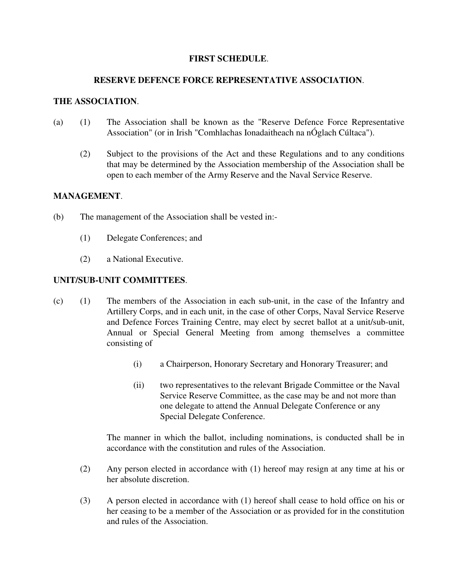# **FIRST SCHEDULE**.

#### **RESERVE DEFENCE FORCE REPRESENTATIVE ASSOCIATION**.

#### **THE ASSOCIATION**.

- (a) (1) The Association shall be known as the "Reserve Defence Force Representative Association" (or in Irish "Comhlachas Ionadaitheach na nÓglach Cúltaca").
	- (2) Subject to the provisions of the Act and these Regulations and to any conditions that may be determined by the Association membership of the Association shall be open to each member of the Army Reserve and the Naval Service Reserve.

# **MANAGEMENT**.

- (b) The management of the Association shall be vested in:-
	- (1) Delegate Conferences; and
	- (2) a National Executive.

# **UNIT/SUB-UNIT COMMITTEES**.

- (c) (1) The members of the Association in each sub-unit, in the case of the Infantry and Artillery Corps, and in each unit, in the case of other Corps, Naval Service Reserve and Defence Forces Training Centre, may elect by secret ballot at a unit/sub-unit, Annual or Special General Meeting from among themselves a committee consisting of
	- (i) a Chairperson, Honorary Secretary and Honorary Treasurer; and
	- (ii) two representatives to the relevant Brigade Committee or the Naval Service Reserve Committee, as the case may be and not more than one delegate to attend the Annual Delegate Conference or any Special Delegate Conference.

The manner in which the ballot, including nominations, is conducted shall be in accordance with the constitution and rules of the Association.

- (2) Any person elected in accordance with (1) hereof may resign at any time at his or her absolute discretion.
- (3) A person elected in accordance with (1) hereof shall cease to hold office on his or her ceasing to be a member of the Association or as provided for in the constitution and rules of the Association.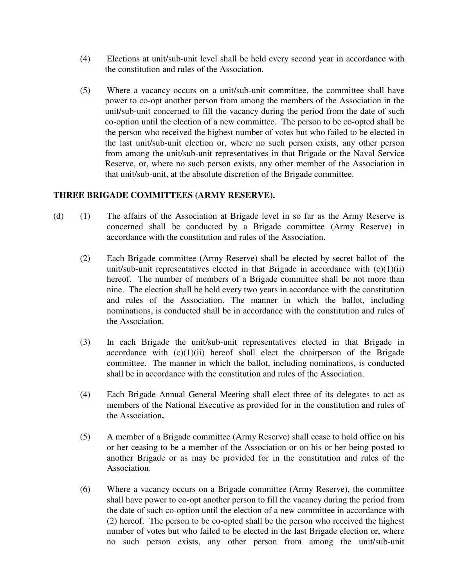- (4) Elections at unit/sub-unit level shall be held every second year in accordance with the constitution and rules of the Association.
- (5) Where a vacancy occurs on a unit/sub-unit committee, the committee shall have power to co-opt another person from among the members of the Association in the unit/sub-unit concerned to fill the vacancy during the period from the date of such co-option until the election of a new committee. The person to be co-opted shall be the person who received the highest number of votes but who failed to be elected in the last unit/sub-unit election or, where no such person exists, any other person from among the unit/sub-unit representatives in that Brigade or the Naval Service Reserve, or, where no such person exists, any other member of the Association in that unit/sub-unit, at the absolute discretion of the Brigade committee.

# **THREE BRIGADE COMMITTEES (ARMY RESERVE).**

- (d) (1) The affairs of the Association at Brigade level in so far as the Army Reserve is concerned shall be conducted by a Brigade committee (Army Reserve) in accordance with the constitution and rules of the Association.
	- (2) Each Brigade committee (Army Reserve) shall be elected by secret ballot of the unit/sub-unit representatives elected in that Brigade in accordance with  $(c)(1)(ii)$ hereof. The number of members of a Brigade committee shall be not more than nine. The election shall be held every two years in accordance with the constitution and rules of the Association. The manner in which the ballot, including nominations, is conducted shall be in accordance with the constitution and rules of the Association.
	- (3) In each Brigade the unit/sub-unit representatives elected in that Brigade in accordance with  $(c)(1)(ii)$  hereof shall elect the chairperson of the Brigade committee. The manner in which the ballot, including nominations, is conducted shall be in accordance with the constitution and rules of the Association.
	- (4) Each Brigade Annual General Meeting shall elect three of its delegates to act as members of the National Executive as provided for in the constitution and rules of the Association**.**
	- (5) A member of a Brigade committee (Army Reserve) shall cease to hold office on his or her ceasing to be a member of the Association or on his or her being posted to another Brigade or as may be provided for in the constitution and rules of the Association.
	- (6) Where a vacancy occurs on a Brigade committee (Army Reserve), the committee shall have power to co-opt another person to fill the vacancy during the period from the date of such co-option until the election of a new committee in accordance with (2) hereof. The person to be co-opted shall be the person who received the highest number of votes but who failed to be elected in the last Brigade election or, where no such person exists, any other person from among the unit/sub-unit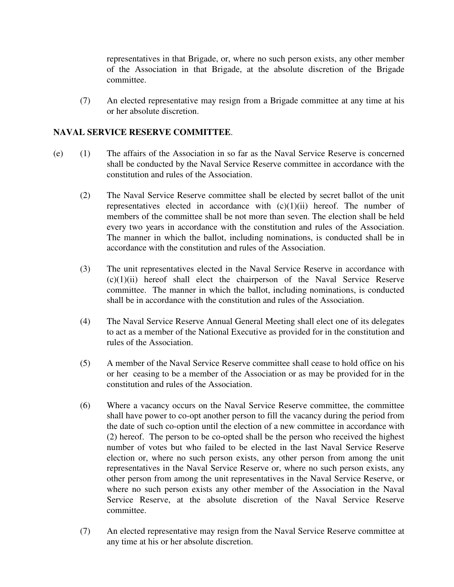representatives in that Brigade, or, where no such person exists, any other member of the Association in that Brigade, at the absolute discretion of the Brigade committee.

(7) An elected representative may resign from a Brigade committee at any time at his or her absolute discretion.

# **NAVAL SERVICE RESERVE COMMITTEE**.

- (e) (1) The affairs of the Association in so far as the Naval Service Reserve is concerned shall be conducted by the Naval Service Reserve committee in accordance with the constitution and rules of the Association.
	- (2) The Naval Service Reserve committee shall be elected by secret ballot of the unit representatives elected in accordance with  $(c)(1)(ii)$  hereof. The number of members of the committee shall be not more than seven. The election shall be held every two years in accordance with the constitution and rules of the Association. The manner in which the ballot, including nominations, is conducted shall be in accordance with the constitution and rules of the Association.
	- (3) The unit representatives elected in the Naval Service Reserve in accordance with  $(c)(1)(ii)$  hereof shall elect the chairperson of the Naval Service Reserve committee. The manner in which the ballot, including nominations, is conducted shall be in accordance with the constitution and rules of the Association.
	- (4) The Naval Service Reserve Annual General Meeting shall elect one of its delegates to act as a member of the National Executive as provided for in the constitution and rules of the Association.
	- (5) A member of the Naval Service Reserve committee shall cease to hold office on his or her ceasing to be a member of the Association or as may be provided for in the constitution and rules of the Association.
	- (6) Where a vacancy occurs on the Naval Service Reserve committee, the committee shall have power to co-opt another person to fill the vacancy during the period from the date of such co-option until the election of a new committee in accordance with (2) hereof. The person to be co-opted shall be the person who received the highest number of votes but who failed to be elected in the last Naval Service Reserve election or, where no such person exists, any other person from among the unit representatives in the Naval Service Reserve or, where no such person exists, any other person from among the unit representatives in the Naval Service Reserve, or where no such person exists any other member of the Association in the Naval Service Reserve, at the absolute discretion of the Naval Service Reserve committee.
	- (7) An elected representative may resign from the Naval Service Reserve committee at any time at his or her absolute discretion.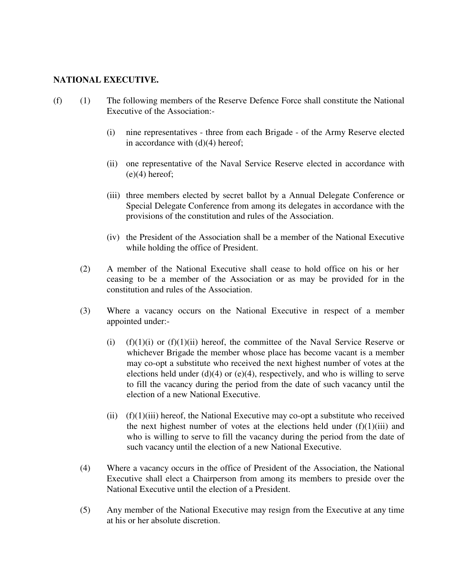#### **NATIONAL EXECUTIVE.**

- (f) (1) The following members of the Reserve Defence Force shall constitute the National Executive of the Association:-
	- (i) nine representatives three from each Brigade of the Army Reserve elected in accordance with (d)(4) hereof;
	- (ii) one representative of the Naval Service Reserve elected in accordance with  $(e)(4)$  hereof;
	- (iii) three members elected by secret ballot by a Annual Delegate Conference or Special Delegate Conference from among its delegates in accordance with the provisions of the constitution and rules of the Association.
	- (iv) the President of the Association shall be a member of the National Executive while holding the office of President.
	- (2) A member of the National Executive shall cease to hold office on his or her ceasing to be a member of the Association or as may be provided for in the constitution and rules of the Association.
	- (3) Where a vacancy occurs on the National Executive in respect of a member appointed under:-
		- (i) (f)(1)(i) or (f)(1)(ii) hereof, the committee of the Naval Service Reserve or whichever Brigade the member whose place has become vacant is a member may co-opt a substitute who received the next highest number of votes at the elections held under (d)(4) or (e)(4), respectively, and who is willing to serve to fill the vacancy during the period from the date of such vacancy until the election of a new National Executive.
		- (ii)  $(f)(1)(iii)$  hereof, the National Executive may co-opt a substitute who received the next highest number of votes at the elections held under  $(f)(1)(iii)$  and who is willing to serve to fill the vacancy during the period from the date of such vacancy until the election of a new National Executive.
	- (4) Where a vacancy occurs in the office of President of the Association, the National Executive shall elect a Chairperson from among its members to preside over the National Executive until the election of a President.
	- (5) Any member of the National Executive may resign from the Executive at any time at his or her absolute discretion.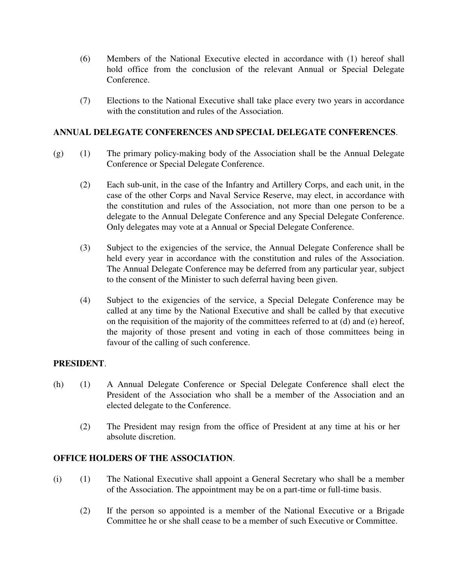- (6) Members of the National Executive elected in accordance with (1) hereof shall hold office from the conclusion of the relevant Annual or Special Delegate Conference.
- (7) Elections to the National Executive shall take place every two years in accordance with the constitution and rules of the Association.

# **ANNUAL DELEGATE CONFERENCES AND SPECIAL DELEGATE CONFERENCES**.

- (g) (1) The primary policy-making body of the Association shall be the Annual Delegate Conference or Special Delegate Conference.
	- (2) Each sub-unit, in the case of the Infantry and Artillery Corps, and each unit, in the case of the other Corps and Naval Service Reserve, may elect, in accordance with the constitution and rules of the Association, not more than one person to be a delegate to the Annual Delegate Conference and any Special Delegate Conference. Only delegates may vote at a Annual or Special Delegate Conference.
	- (3) Subject to the exigencies of the service, the Annual Delegate Conference shall be held every year in accordance with the constitution and rules of the Association. The Annual Delegate Conference may be deferred from any particular year, subject to the consent of the Minister to such deferral having been given.
	- (4) Subject to the exigencies of the service, a Special Delegate Conference may be called at any time by the National Executive and shall be called by that executive on the requisition of the majority of the committees referred to at (d) and (e) hereof, the majority of those present and voting in each of those committees being in favour of the calling of such conference.

# **PRESIDENT**.

- (h) (1) A Annual Delegate Conference or Special Delegate Conference shall elect the President of the Association who shall be a member of the Association and an elected delegate to the Conference.
	- (2) The President may resign from the office of President at any time at his or her absolute discretion.

#### **OFFICE HOLDERS OF THE ASSOCIATION**.

- (i) (1) The National Executive shall appoint a General Secretary who shall be a member of the Association. The appointment may be on a part-time or full-time basis.
	- (2) If the person so appointed is a member of the National Executive or a Brigade Committee he or she shall cease to be a member of such Executive or Committee.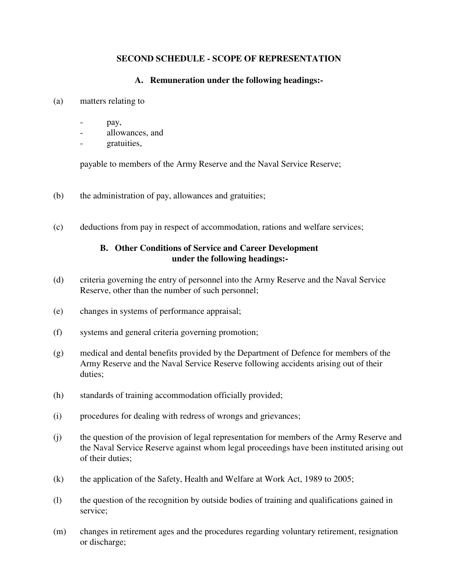# **SECOND SCHEDULE - SCOPE OF REPRESENTATION**

# **A. Remuneration under the following headings:-**

- (a) matters relating to
	- pay,
	- allowances, and
	- gratuities,

payable to members of the Army Reserve and the Naval Service Reserve;

- (b) the administration of pay, allowances and gratuities;
- (c) deductions from pay in respect of accommodation, rations and welfare services;

# **B. Other Conditions of Service and Career Development under the following headings:-**

- (d) criteria governing the entry of personnel into the Army Reserve and the Naval Service Reserve, other than the number of such personnel;
- (e) changes in systems of performance appraisal;
- (f) systems and general criteria governing promotion;
- (g) medical and dental benefits provided by the Department of Defence for members of the Army Reserve and the Naval Service Reserve following accidents arising out of their duties;
- (h) standards of training accommodation officially provided;
- (i) procedures for dealing with redress of wrongs and grievances;
- (j) the question of the provision of legal representation for members of the Army Reserve and the Naval Service Reserve against whom legal proceedings have been instituted arising out of their duties;
- (k) the application of the Safety, Health and Welfare at Work Act, 1989 to 2005;
- (l) the question of the recognition by outside bodies of training and qualifications gained in service;
- (m) changes in retirement ages and the procedures regarding voluntary retirement, resignation or discharge;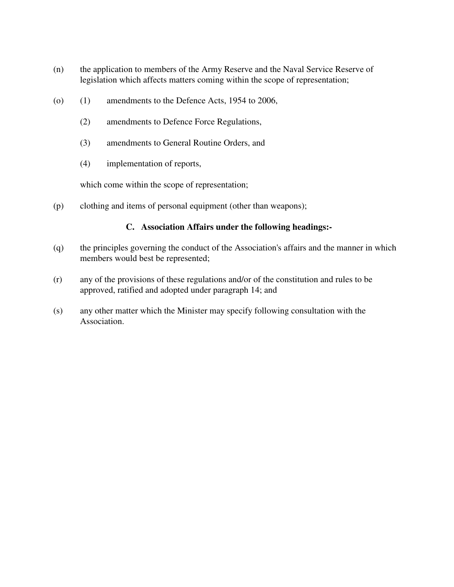- (n) the application to members of the Army Reserve and the Naval Service Reserve of legislation which affects matters coming within the scope of representation;
- (o) (1) amendments to the Defence Acts, 1954 to 2006,
	- (2) amendments to Defence Force Regulations,
	- (3) amendments to General Routine Orders, and
	- (4) implementation of reports,

which come within the scope of representation;

(p) clothing and items of personal equipment (other than weapons);

# **C. Association Affairs under the following headings:-**

- (q) the principles governing the conduct of the Association's affairs and the manner in which members would best be represented;
- (r) any of the provisions of these regulations and/or of the constitution and rules to be approved, ratified and adopted under paragraph 14; and
- (s) any other matter which the Minister may specify following consultation with the Association.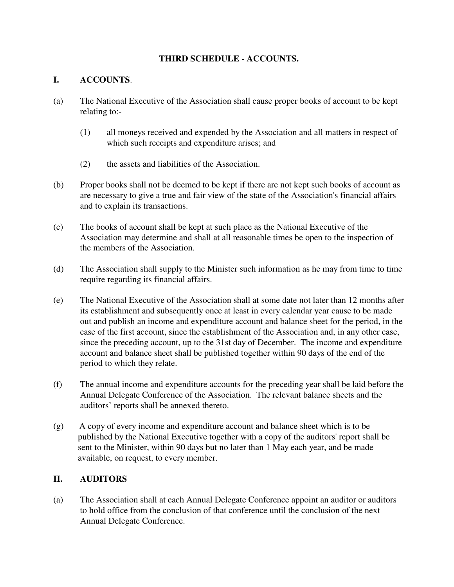# **THIRD SCHEDULE - ACCOUNTS.**

# **I. ACCOUNTS**.

- (a) The National Executive of the Association shall cause proper books of account to be kept relating to:-
	- (1) all moneys received and expended by the Association and all matters in respect of which such receipts and expenditure arises; and
	- (2) the assets and liabilities of the Association.
- (b) Proper books shall not be deemed to be kept if there are not kept such books of account as are necessary to give a true and fair view of the state of the Association's financial affairs and to explain its transactions.
- (c) The books of account shall be kept at such place as the National Executive of the Association may determine and shall at all reasonable times be open to the inspection of the members of the Association.
- (d) The Association shall supply to the Minister such information as he may from time to time require regarding its financial affairs.
- (e) The National Executive of the Association shall at some date not later than 12 months after its establishment and subsequently once at least in every calendar year cause to be made out and publish an income and expenditure account and balance sheet for the period, in the case of the first account, since the establishment of the Association and, in any other case, since the preceding account, up to the 31st day of December. The income and expenditure account and balance sheet shall be published together within 90 days of the end of the period to which they relate.
- (f) The annual income and expenditure accounts for the preceding year shall be laid before the Annual Delegate Conference of the Association. The relevant balance sheets and the auditors' reports shall be annexed thereto.
- (g) A copy of every income and expenditure account and balance sheet which is to be published by the National Executive together with a copy of the auditors' report shall be sent to the Minister, within 90 days but no later than 1 May each year, and be made available, on request, to every member.

# **II. AUDITORS**

(a) The Association shall at each Annual Delegate Conference appoint an auditor or auditors to hold office from the conclusion of that conference until the conclusion of the next Annual Delegate Conference.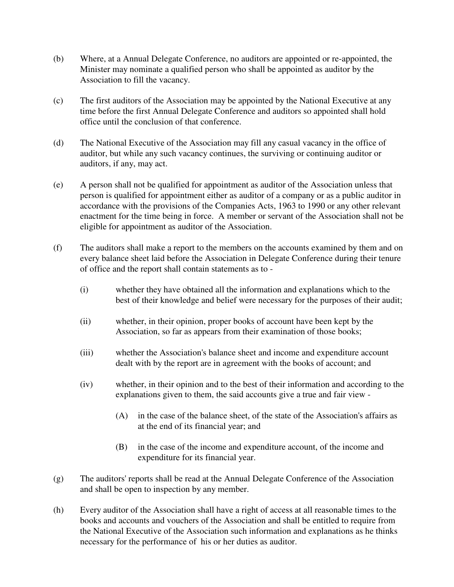- (b) Where, at a Annual Delegate Conference, no auditors are appointed or re-appointed, the Minister may nominate a qualified person who shall be appointed as auditor by the Association to fill the vacancy.
- (c) The first auditors of the Association may be appointed by the National Executive at any time before the first Annual Delegate Conference and auditors so appointed shall hold office until the conclusion of that conference.
- (d) The National Executive of the Association may fill any casual vacancy in the office of auditor, but while any such vacancy continues, the surviving or continuing auditor or auditors, if any, may act.
- (e) A person shall not be qualified for appointment as auditor of the Association unless that person is qualified for appointment either as auditor of a company or as a public auditor in accordance with the provisions of the Companies Acts, 1963 to 1990 or any other relevant enactment for the time being in force. A member or servant of the Association shall not be eligible for appointment as auditor of the Association.
- (f) The auditors shall make a report to the members on the accounts examined by them and on every balance sheet laid before the Association in Delegate Conference during their tenure of office and the report shall contain statements as to -
	- (i) whether they have obtained all the information and explanations which to the best of their knowledge and belief were necessary for the purposes of their audit;
	- (ii) whether, in their opinion, proper books of account have been kept by the Association, so far as appears from their examination of those books;
	- (iii) whether the Association's balance sheet and income and expenditure account dealt with by the report are in agreement with the books of account; and
	- (iv) whether, in their opinion and to the best of their information and according to the explanations given to them, the said accounts give a true and fair view -
		- (A) in the case of the balance sheet, of the state of the Association's affairs as at the end of its financial year; and
		- (B) in the case of the income and expenditure account, of the income and expenditure for its financial year.
- (g) The auditors' reports shall be read at the Annual Delegate Conference of the Association and shall be open to inspection by any member.
- (h) Every auditor of the Association shall have a right of access at all reasonable times to the books and accounts and vouchers of the Association and shall be entitled to require from the National Executive of the Association such information and explanations as he thinks necessary for the performance of his or her duties as auditor.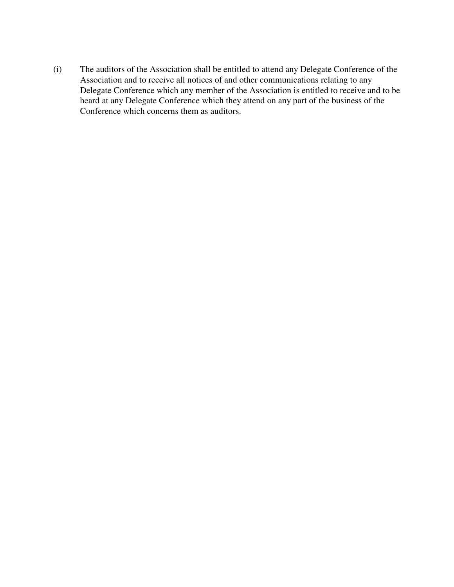(i) The auditors of the Association shall be entitled to attend any Delegate Conference of the Association and to receive all notices of and other communications relating to any Delegate Conference which any member of the Association is entitled to receive and to be heard at any Delegate Conference which they attend on any part of the business of the Conference which concerns them as auditors.